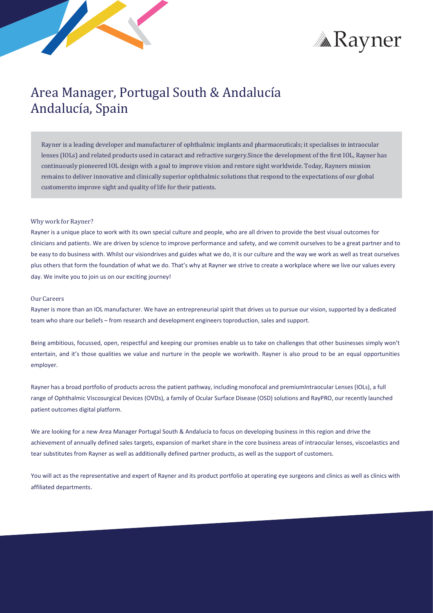



# Area Manager, Portugal South & Andalucía Andalucía, Spain

Rayner is a leading developer and manufacturer of ophthalmic implants and pharmaceuticals; it specialises in intraocular lenses (IOLs) and related products used in cataract and refractive surgery.Since the development of the first IOL, Rayner has continuously pioneered IOL design with a goal to improve vision and restore sight worldwide. Today, Rayners mission remains to deliver innovative and clinically superior ophthalmic solutions that respond to the expectations of our global customersto improve sight and quality of life for their patients.

### Why work for Rayner?

Rayner is a unique place to work with its own special culture and people, who are all driven to provide the best visual outcomes for clinicians and patients. We are driven by science to improve performance and safety, and we commit ourselves to be a great partner and to be easy to do business with. Whilst our visiondrives and guides what we do, it is our culture and the way we work as well as treat ourselves plus others that form the foundation of what we do. That's why at Rayner we strive to create a workplace where we live our values every day. We invite you to join us on our exciting journey!

#### Our Careers

Rayner is more than an IOL manufacturer. We have an entrepreneurial spirit that drives us to pursue our vision, supported by a dedicated team who share our beliefs – from research and development engineers toproduction, sales and support.

Being ambitious, focussed, open, respectful and keeping our promises enable us to take on challenges that other businesses simply won't entertain, and it's those qualities we value and nurture in the people we workwith. Rayner is also proud to be an equal opportunities employer.

Rayner has a broad portfolio of products across the patient pathway, including monofocal and premiumIntraocular Lenses (IOLs), a full range of Ophthalmic Viscosurgical Devices (OVDs), a family of Ocular Surface Disease (OSD) solutions and RayPRO, our recently launched patient outcomes digital platform.

We are looking for a new Area Manager Portugal South & Andalucía to focus on developing business in this region and drive the achievement of annually defined sales targets, expansion of market share in the core business areas of intraocular lenses, viscoelastics and tear substitutes from Rayner as well as additionally defined partner products, as well as the support of customers.

You will act as the representative and expert of Rayner and its product portfolio at operating eye surgeons and clinics as well as clinics with affiliated departments.